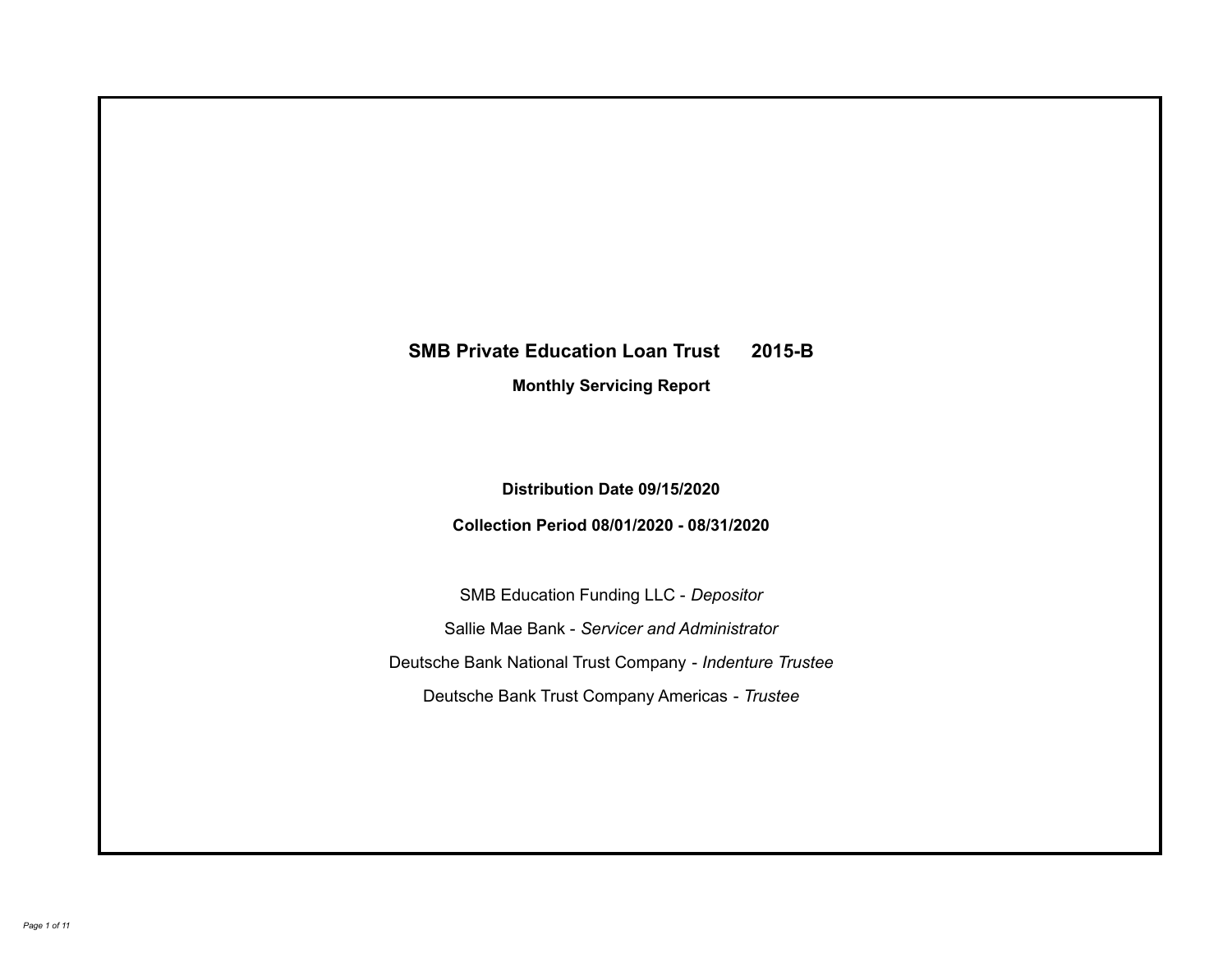## **SMB Private Education Loan Trust 2015-B Monthly Servicing Report**

**Distribution Date 09/15/2020**

**Collection Period 08/01/2020 - 08/31/2020**

SMB Education Funding LLC - *Depositor* Sallie Mae Bank - *Servicer and Administrator* Deutsche Bank National Trust Company - *Indenture Trustee* Deutsche Bank Trust Company Americas - *Trustee*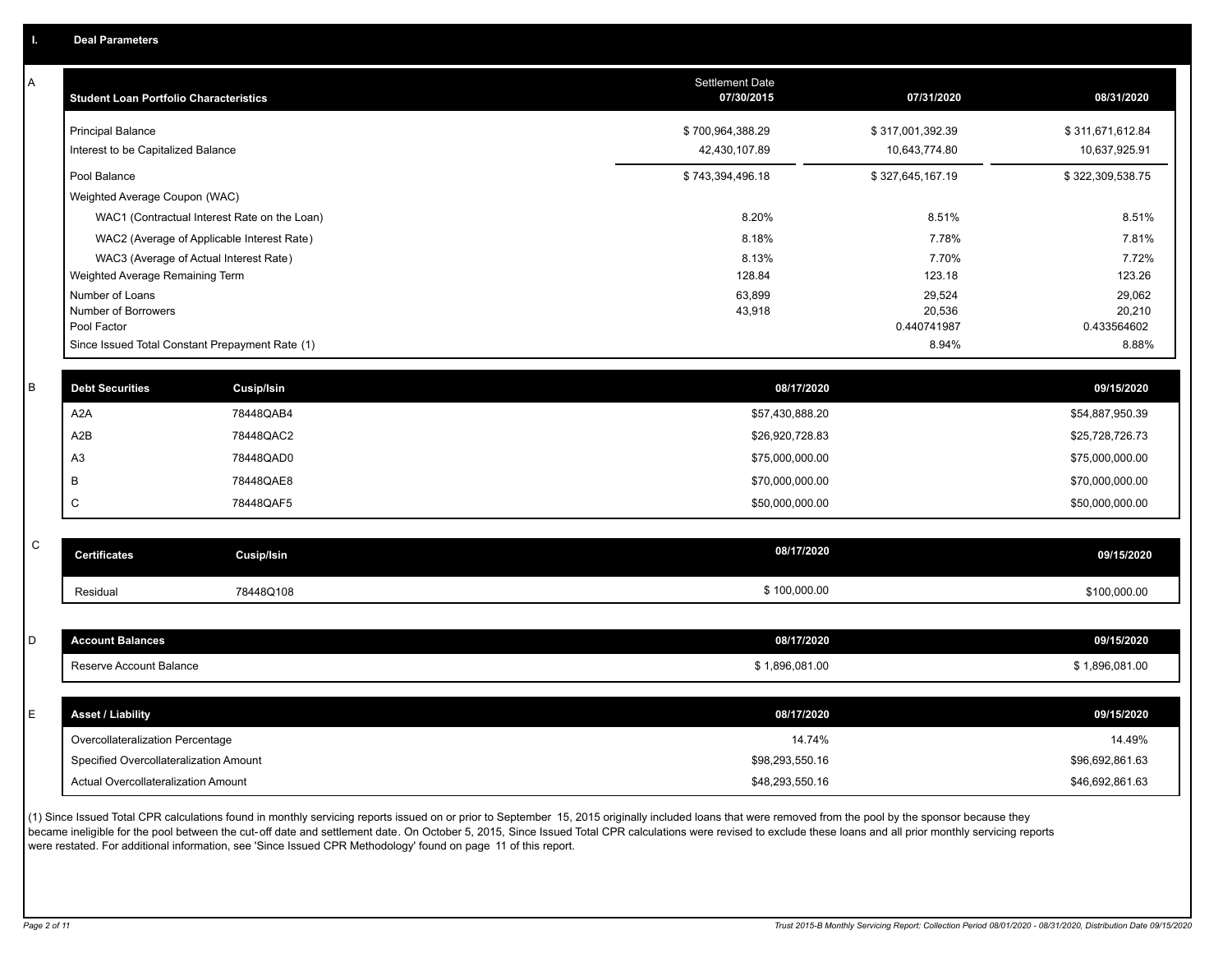| А | <b>Student Loan Portfolio Characteristics</b> |                                                 | Settlement Date<br>07/30/2015      | 07/31/2020            | 08/31/2020                         |
|---|-----------------------------------------------|-------------------------------------------------|------------------------------------|-----------------------|------------------------------------|
|   | <b>Principal Balance</b>                      |                                                 | \$700,964,388.29                   | \$317,001,392.39      | \$311,671,612.84                   |
|   | Interest to be Capitalized Balance            |                                                 | 42,430,107.89                      | 10,643,774.80         | 10,637,925.91                      |
|   | Pool Balance                                  |                                                 | \$743,394,496.18                   | \$327,645,167.19      | \$322,309,538.75                   |
|   | Weighted Average Coupon (WAC)                 |                                                 |                                    |                       |                                    |
|   |                                               | WAC1 (Contractual Interest Rate on the Loan)    | 8.20%                              | 8.51%                 | 8.51%                              |
|   |                                               | WAC2 (Average of Applicable Interest Rate)      | 8.18%                              | 7.78%                 | 7.81%                              |
|   |                                               | WAC3 (Average of Actual Interest Rate)          | 8.13%                              | 7.70%                 | 7.72%                              |
|   | Weighted Average Remaining Term               |                                                 | 128.84                             | 123.18                | 123.26                             |
|   | Number of Loans<br>Number of Borrowers        |                                                 | 63,899                             | 29,524                | 29,062                             |
|   | Pool Factor                                   |                                                 | 43,918                             | 20,536<br>0.440741987 | 20,210<br>0.433564602              |
|   |                                               | Since Issued Total Constant Prepayment Rate (1) |                                    | 8.94%                 | 8.88%                              |
| B | <b>Debt Securities</b>                        | <b>Cusip/Isin</b>                               | 08/17/2020                         |                       | 09/15/2020                         |
|   | A <sub>2</sub> A                              | 78448QAB4                                       | \$57,430,888.20                    |                       | \$54,887,950.39                    |
|   | A2B                                           | 78448QAC2                                       | \$26,920,728.83                    |                       | \$25,728,726.73                    |
|   | A <sub>3</sub>                                | 78448QAD0                                       | \$75,000,000.00                    |                       | \$75,000,000.00                    |
|   | B                                             | 78448QAE8                                       |                                    |                       |                                    |
|   | C                                             | 78448QAF5                                       | \$70,000,000.00<br>\$50,000,000.00 |                       | \$70,000,000.00<br>\$50,000,000.00 |
|   |                                               |                                                 |                                    |                       |                                    |
| C | <b>Certificates</b>                           | <b>Cusip/Isin</b>                               | 08/17/2020                         |                       | 09/15/2020                         |
|   | Residual                                      | 78448Q108                                       | \$100,000.00                       |                       | \$100,000.00                       |
|   |                                               |                                                 |                                    |                       |                                    |
| D | <b>Account Balances</b>                       |                                                 | 08/17/2020                         |                       | 09/15/2020                         |
|   | Reserve Account Balance                       |                                                 | \$1,896,081.00                     |                       | \$1,896,081.00                     |
|   |                                               |                                                 |                                    |                       |                                    |
| E | <b>Asset / Liability</b>                      |                                                 | 08/17/2020                         |                       | 09/15/2020                         |
|   | Overcollateralization Percentage              |                                                 | 14.74%                             |                       | 14.49%                             |
|   | Specified Overcollateralization Amount        |                                                 | \$98,293,550.16                    |                       | \$96,692,861.63                    |
|   | Actual Overcollateralization Amount           |                                                 | \$48,293,550.16                    |                       | \$46,692,861.63                    |

(1) Since Issued Total CPR calculations found in monthly servicing reports issued on or prior to September 15, 2015 originally included loans that were removed from the pool by the sponsor because they .<br>became ineligible for the pool between the cut-off date and settlement date. On October 5, 2015, Since Issued Total CPR calculations were revised to exclude these loans and all prior monthly servicing reports were restated. For additional information, see 'Since Issued CPR Methodology' found on page 11 of this report.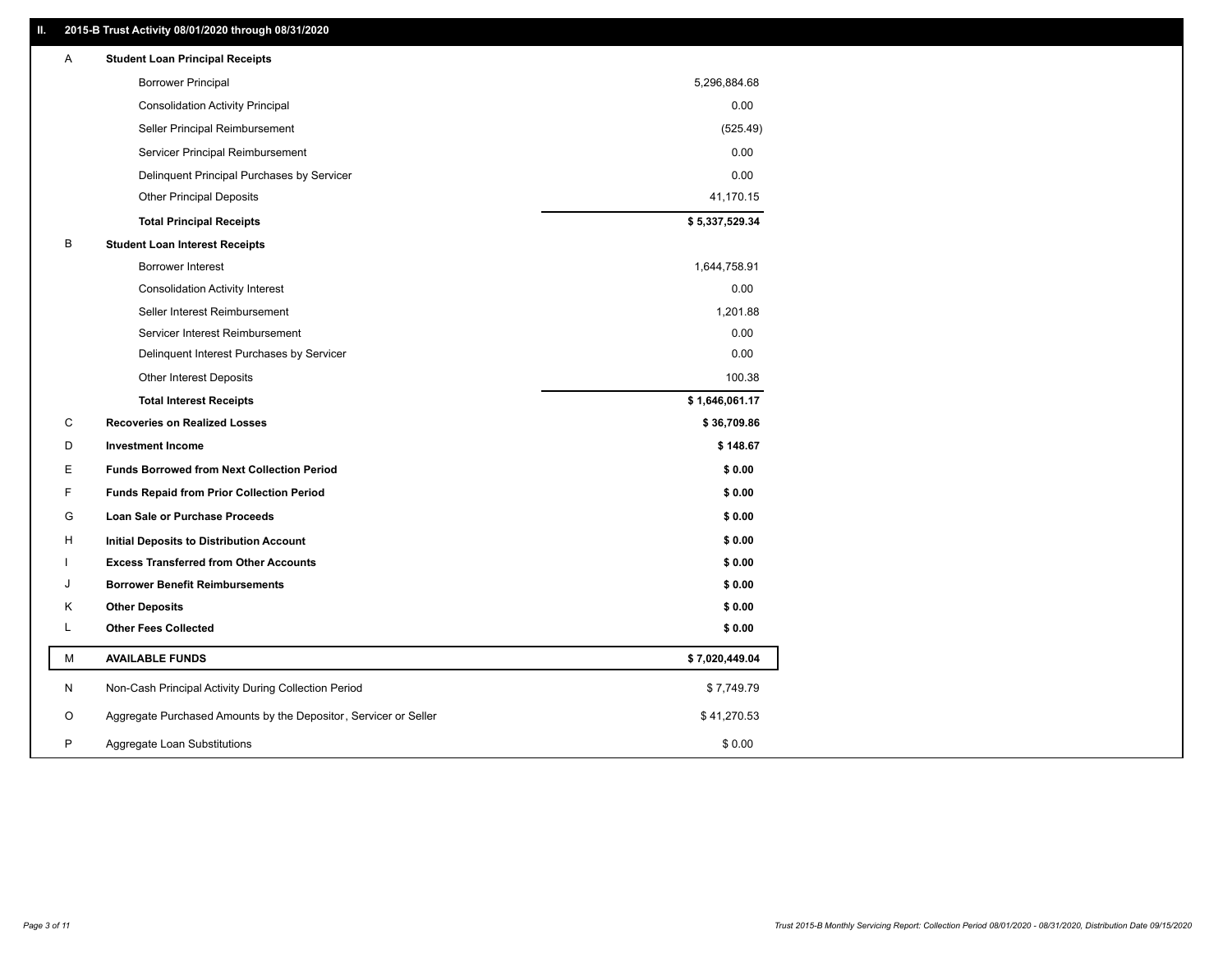### **II. 2015-B Trust Activity 08/01/2020 through 08/31/2020**

| A | <b>Student Loan Principal Receipts</b>                           |                |  |
|---|------------------------------------------------------------------|----------------|--|
|   | <b>Borrower Principal</b>                                        | 5,296,884.68   |  |
|   | <b>Consolidation Activity Principal</b>                          | 0.00           |  |
|   | Seller Principal Reimbursement                                   | (525.49)       |  |
|   | Servicer Principal Reimbursement                                 | 0.00           |  |
|   | Delinquent Principal Purchases by Servicer                       | 0.00           |  |
|   | <b>Other Principal Deposits</b>                                  | 41,170.15      |  |
|   | <b>Total Principal Receipts</b>                                  | \$5,337,529.34 |  |
| B | <b>Student Loan Interest Receipts</b>                            |                |  |
|   | Borrower Interest                                                | 1,644,758.91   |  |
|   | <b>Consolidation Activity Interest</b>                           | 0.00           |  |
|   | Seller Interest Reimbursement                                    | 1,201.88       |  |
|   | Servicer Interest Reimbursement                                  | 0.00           |  |
|   | Delinquent Interest Purchases by Servicer                        | 0.00           |  |
|   | <b>Other Interest Deposits</b>                                   | 100.38         |  |
|   | <b>Total Interest Receipts</b>                                   | \$1,646,061.17 |  |
| С | <b>Recoveries on Realized Losses</b>                             | \$36,709.86    |  |
| D | <b>Investment Income</b>                                         | \$148.67       |  |
| Ε | <b>Funds Borrowed from Next Collection Period</b>                | \$0.00         |  |
| F | <b>Funds Repaid from Prior Collection Period</b>                 | \$0.00         |  |
| G | Loan Sale or Purchase Proceeds                                   | \$0.00         |  |
| н | Initial Deposits to Distribution Account                         | \$0.00         |  |
|   | <b>Excess Transferred from Other Accounts</b>                    | \$0.00         |  |
| J | <b>Borrower Benefit Reimbursements</b>                           | \$0.00         |  |
| Κ | <b>Other Deposits</b>                                            | \$0.00         |  |
| L | <b>Other Fees Collected</b>                                      | \$0.00         |  |
| М | <b>AVAILABLE FUNDS</b>                                           | \$7,020,449.04 |  |
| N | Non-Cash Principal Activity During Collection Period             | \$7,749.79     |  |
| O | Aggregate Purchased Amounts by the Depositor, Servicer or Seller | \$41,270.53    |  |
| P | Aggregate Loan Substitutions                                     | \$0.00         |  |
|   |                                                                  |                |  |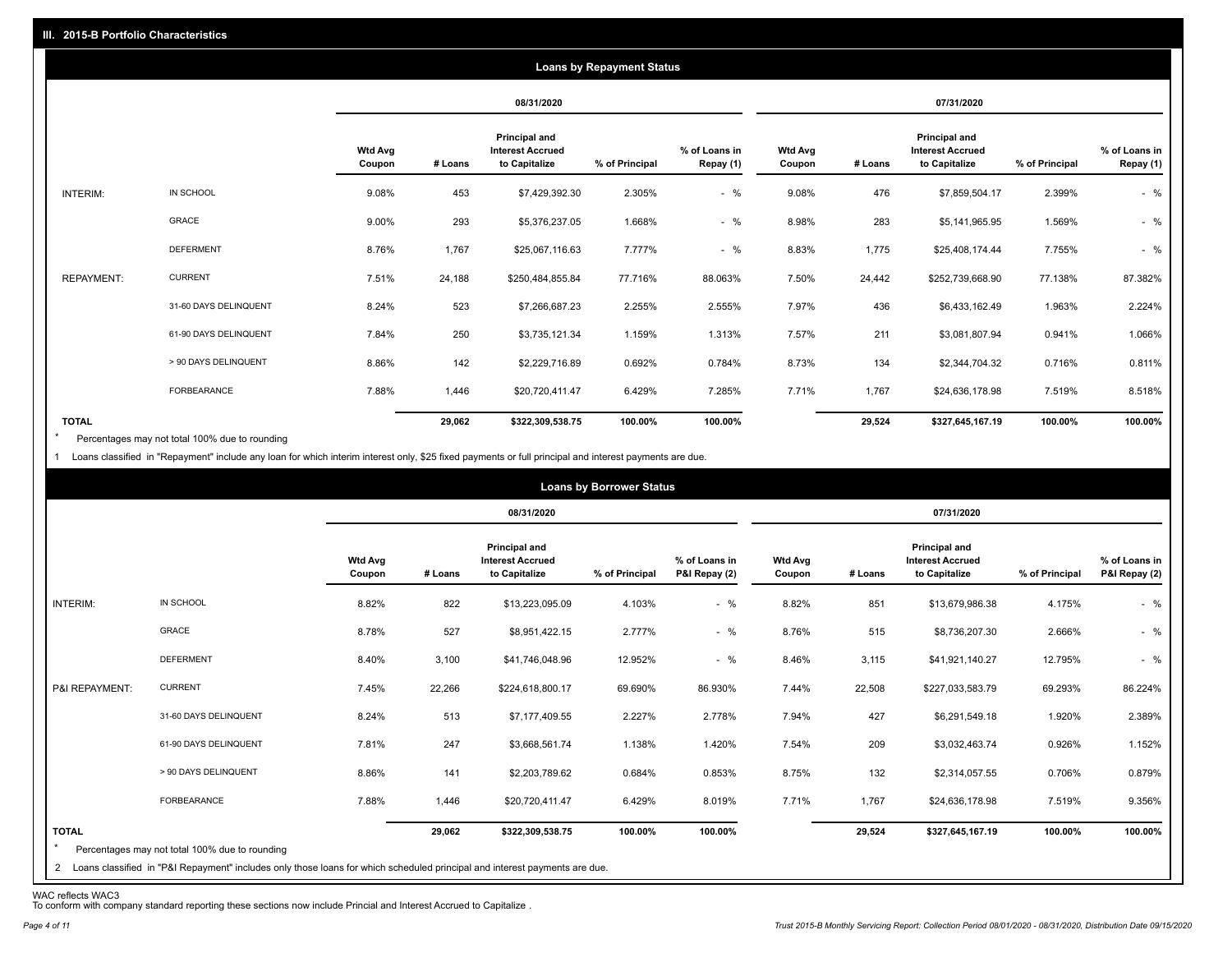|                   |                       |                          |         |                                                                  | <b>Loans by Repayment Status</b> |                            |                          |         |                                                           |                |                            |
|-------------------|-----------------------|--------------------------|---------|------------------------------------------------------------------|----------------------------------|----------------------------|--------------------------|---------|-----------------------------------------------------------|----------------|----------------------------|
|                   |                       |                          |         | 08/31/2020                                                       |                                  |                            |                          |         | 07/31/2020                                                |                |                            |
|                   |                       | <b>Wtd Avg</b><br>Coupon | # Loans | <b>Principal and</b><br><b>Interest Accrued</b><br>to Capitalize | % of Principal                   | % of Loans in<br>Repay (1) | <b>Wtd Avg</b><br>Coupon | # Loans | Principal and<br><b>Interest Accrued</b><br>to Capitalize | % of Principal | % of Loans in<br>Repay (1) |
| INTERIM:          | IN SCHOOL             | 9.08%                    | 453     | \$7,429,392.30                                                   | 2.305%                           | $-$ %                      | 9.08%                    | 476     | \$7,859,504.17                                            | 2.399%         | $-$ %                      |
|                   | <b>GRACE</b>          | 9.00%                    | 293     | \$5,376,237.05                                                   | 1.668%                           | $-$ %                      | 8.98%                    | 283     | \$5,141,965.95                                            | 1.569%         | $-$ %                      |
|                   | <b>DEFERMENT</b>      | 8.76%                    | 1,767   | \$25,067,116.63                                                  | 7.777%                           | $-$ %                      | 8.83%                    | 1,775   | \$25,408,174.44                                           | 7.755%         | $-$ %                      |
| <b>REPAYMENT:</b> | <b>CURRENT</b>        | 7.51%                    | 24,188  | \$250,484,855.84                                                 | 77.716%                          | 88.063%                    | 7.50%                    | 24,442  | \$252,739,668.90                                          | 77.138%        | 87.382%                    |
|                   | 31-60 DAYS DELINQUENT | 8.24%                    | 523     | \$7,266,687.23                                                   | 2.255%                           | 2.555%                     | 7.97%                    | 436     | \$6,433,162.49                                            | 1.963%         | 2.224%                     |
|                   | 61-90 DAYS DELINQUENT | 7.84%                    | 250     | \$3,735,121.34                                                   | 1.159%                           | 1.313%                     | 7.57%                    | 211     | \$3,081,807.94                                            | 0.941%         | 1.066%                     |
|                   | > 90 DAYS DELINQUENT  | 8.86%                    | 142     | \$2,229,716.89                                                   | 0.692%                           | 0.784%                     | 8.73%                    | 134     | \$2,344,704.32                                            | 0.716%         | 0.811%                     |
|                   | FORBEARANCE           | 7.88%                    | 1,446   | \$20,720,411.47                                                  | 6.429%                           | 7.285%                     | 7.71%                    | 1,767   | \$24,636,178.98                                           | 7.519%         | 8.518%                     |
| <b>TOTAL</b>      |                       |                          | 29,062  | \$322,309,538.75                                                 | 100.00%                          | 100.00%                    |                          | 29,524  | \$327,645,167.19                                          | 100.00%        | 100.00%                    |

Percentages may not total 100% due to rounding  $\star$ 

1 Loans classified in "Repayment" include any loan for which interim interest only, \$25 fixed payments or full principal and interest payments are due.

|                         |                                                                                                                              |                          |         |                                                           | <b>Loans by Borrower Status</b> |                                |                          |         |                                                                  |                |                                |
|-------------------------|------------------------------------------------------------------------------------------------------------------------------|--------------------------|---------|-----------------------------------------------------------|---------------------------------|--------------------------------|--------------------------|---------|------------------------------------------------------------------|----------------|--------------------------------|
|                         |                                                                                                                              |                          |         | 08/31/2020                                                |                                 |                                |                          |         | 07/31/2020                                                       |                |                                |
|                         |                                                                                                                              | <b>Wtd Avg</b><br>Coupon | # Loans | Principal and<br><b>Interest Accrued</b><br>to Capitalize | % of Principal                  | % of Loans in<br>P&I Repay (2) | <b>Wtd Avg</b><br>Coupon | # Loans | <b>Principal and</b><br><b>Interest Accrued</b><br>to Capitalize | % of Principal | % of Loans in<br>P&I Repay (2) |
| INTERIM:                | IN SCHOOL                                                                                                                    | 8.82%                    | 822     | \$13,223,095.09                                           | 4.103%                          | $-$ %                          | 8.82%                    | 851     | \$13,679,986.38                                                  | 4.175%         | $-$ %                          |
|                         | GRACE                                                                                                                        | 8.78%                    | 527     | \$8,951,422.15                                            | 2.777%                          | $-$ %                          | 8.76%                    | 515     | \$8,736,207.30                                                   | 2.666%         | $-$ %                          |
|                         | <b>DEFERMENT</b>                                                                                                             | 8.40%                    | 3,100   | \$41,746,048.96                                           | 12.952%                         | $-$ %                          | 8.46%                    | 3,115   | \$41,921,140.27                                                  | 12.795%        | $-$ %                          |
| P&I REPAYMENT:          | <b>CURRENT</b>                                                                                                               | 7.45%                    | 22,266  | \$224,618,800.17                                          | 69.690%                         | 86.930%                        | 7.44%                    | 22,508  | \$227,033,583.79                                                 | 69.293%        | 86.224%                        |
|                         | 31-60 DAYS DELINQUENT                                                                                                        | 8.24%                    | 513     | \$7,177,409.55                                            | 2.227%                          | 2.778%                         | 7.94%                    | 427     | \$6,291,549.18                                                   | 1.920%         | 2.389%                         |
|                         | 61-90 DAYS DELINQUENT                                                                                                        | 7.81%                    | 247     | \$3,668,561.74                                            | 1.138%                          | 1.420%                         | 7.54%                    | 209     | \$3,032,463.74                                                   | 0.926%         | 1.152%                         |
|                         | > 90 DAYS DELINQUENT                                                                                                         | 8.86%                    | 141     | \$2,203,789.62                                            | 0.684%                          | 0.853%                         | 8.75%                    | 132     | \$2,314,057.55                                                   | 0.706%         | 0.879%                         |
|                         | FORBEARANCE                                                                                                                  | 7.88%                    | 1,446   | \$20,720,411.47                                           | 6.429%                          | 8.019%                         | 7.71%                    | 1,767   | \$24,636,178.98                                                  | 7.519%         | 9.356%                         |
| <b>TOTAL</b><br>$\star$ | Percentages may not total 100% due to rounding                                                                               |                          | 29,062  | \$322,309,538.75                                          | 100.00%                         | 100.00%                        |                          | 29,524  | \$327,645,167.19                                                 | 100.00%        | 100.00%                        |
|                         | 2 Loans classified in "P&I Repayment" includes only those loans for which scheduled principal and interest payments are due. |                          |         |                                                           |                                 |                                |                          |         |                                                                  |                |                                |

WAC reflects WAC3 To conform with company standard reporting these sections now include Princial and Interest Accrued to Capitalize .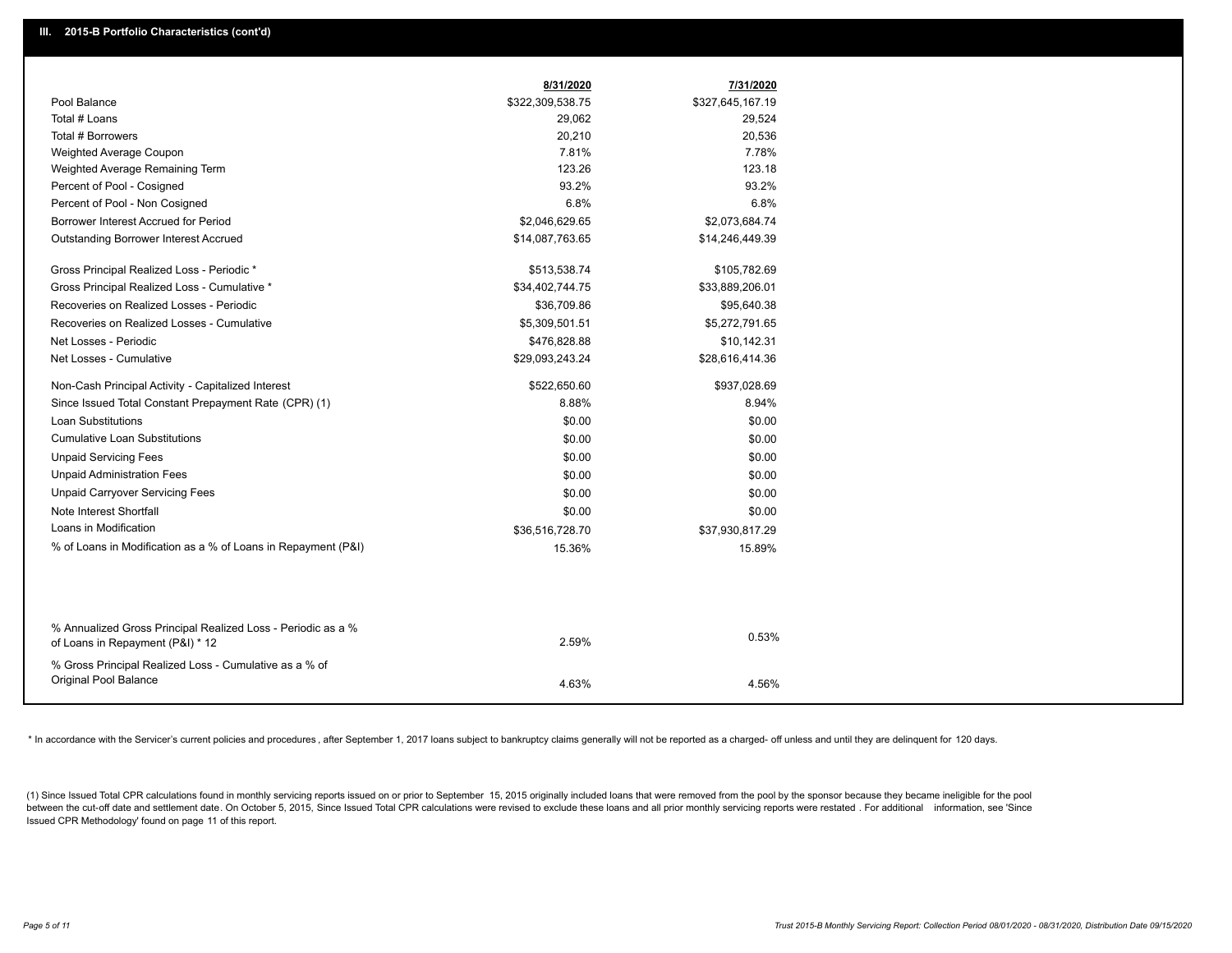|                                                               | 8/31/2020        | 7/31/2020        |
|---------------------------------------------------------------|------------------|------------------|
| Pool Balance                                                  | \$322,309,538.75 | \$327,645,167.19 |
| Total # Loans                                                 | 29,062           | 29,524           |
| Total # Borrowers                                             | 20,210           | 20,536           |
| Weighted Average Coupon                                       | 7.81%            | 7.78%            |
| Weighted Average Remaining Term                               | 123.26           | 123.18           |
| Percent of Pool - Cosigned                                    | 93.2%            | 93.2%            |
| Percent of Pool - Non Cosigned                                | 6.8%             | 6.8%             |
| Borrower Interest Accrued for Period                          | \$2,046,629.65   | \$2,073,684.74   |
| Outstanding Borrower Interest Accrued                         | \$14,087,763.65  | \$14,246,449.39  |
| Gross Principal Realized Loss - Periodic *                    | \$513,538.74     | \$105,782.69     |
| Gross Principal Realized Loss - Cumulative *                  | \$34,402,744.75  | \$33,889,206.01  |
| Recoveries on Realized Losses - Periodic                      | \$36,709.86      | \$95,640.38      |
| Recoveries on Realized Losses - Cumulative                    | \$5,309,501.51   | \$5,272,791.65   |
| Net Losses - Periodic                                         | \$476,828.88     | \$10,142.31      |
| Net Losses - Cumulative                                       | \$29,093,243.24  | \$28,616,414.36  |
| Non-Cash Principal Activity - Capitalized Interest            | \$522,650.60     | \$937,028.69     |
| Since Issued Total Constant Prepayment Rate (CPR) (1)         | 8.88%            | 8.94%            |
| <b>Loan Substitutions</b>                                     | \$0.00           | \$0.00           |
| <b>Cumulative Loan Substitutions</b>                          | \$0.00           | \$0.00           |
| <b>Unpaid Servicing Fees</b>                                  | \$0.00           | \$0.00           |
| <b>Unpaid Administration Fees</b>                             | \$0.00           | \$0.00           |
| <b>Unpaid Carryover Servicing Fees</b>                        | \$0.00           | \$0.00           |
| Note Interest Shortfall                                       | \$0.00           | \$0.00           |
| Loans in Modification                                         | \$36,516,728.70  | \$37,930,817.29  |
| % of Loans in Modification as a % of Loans in Repayment (P&I) | 15.36%           | 15.89%           |
|                                                               |                  |                  |
| % Annualized Gross Principal Realized Loss - Periodic as a %  |                  |                  |
| of Loans in Repayment (P&I) * 12                              | 2.59%            | 0.53%            |
| % Gross Principal Realized Loss - Cumulative as a % of        |                  |                  |
| Original Pool Balance                                         | 4.63%            | 4.56%            |
|                                                               |                  |                  |

\* In accordance with the Servicer's current policies and procedures, after September 1, 2017 loans subject to bankruptcy claims generally will not be reported as a charged- off unless and until they are delinquent for 120

(1) Since Issued Total CPR calculations found in monthly servicing reports issued on or prior to September 15, 2015 originally included loans that were removed from the pool by the sponsor because they became ineligible fo between the cut-off date and settlement date. On October 5, 2015, Since Issued Total CPR calculations were revised to exclude these loans and all prior monthly servicing reports were restated. For additional information, s Issued CPR Methodology' found on page 11 of this report.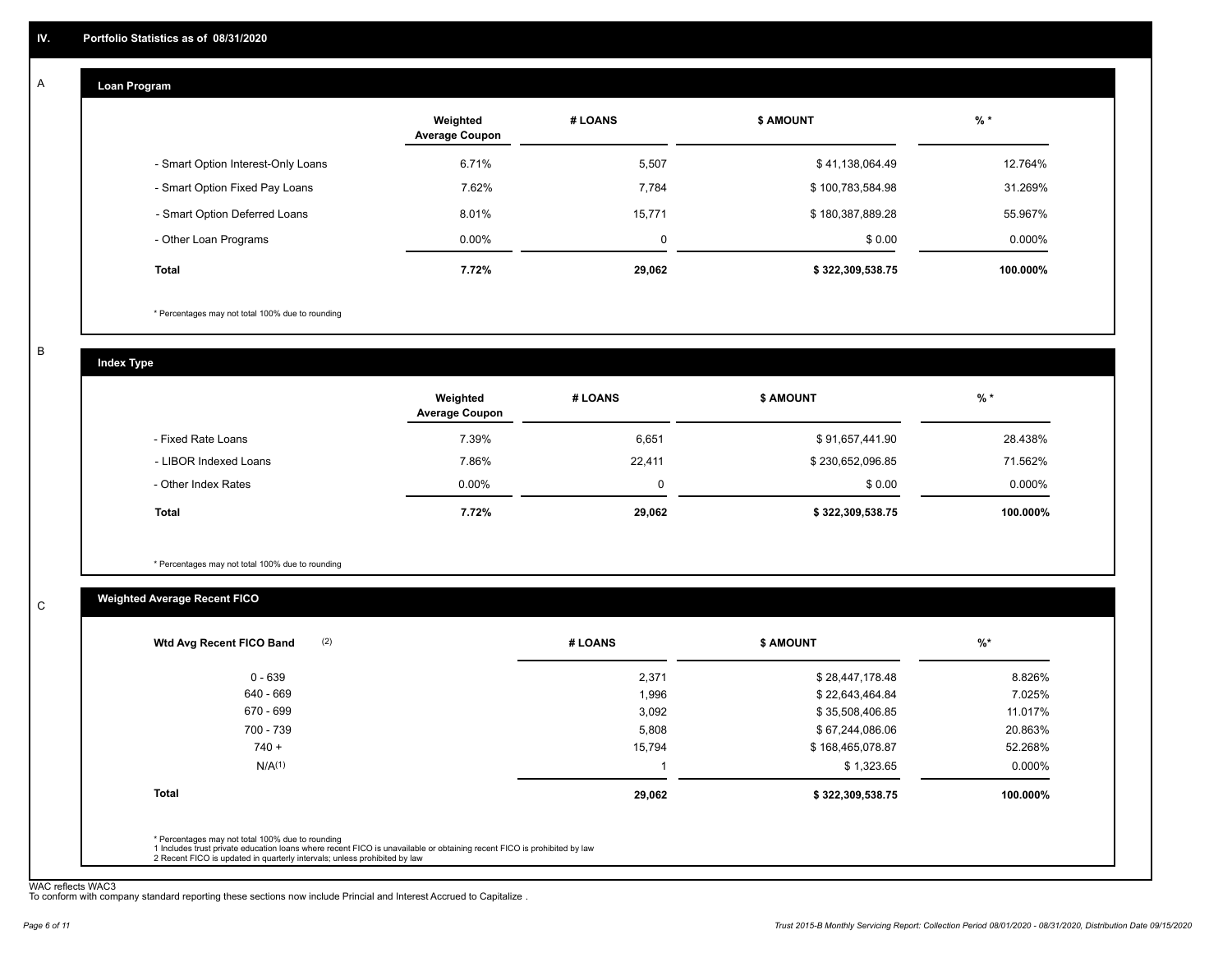### **Loan Program**  A

|                                    | Weighted<br><b>Average Coupon</b> | # LOANS | <b>\$ AMOUNT</b> | $%$ *    |
|------------------------------------|-----------------------------------|---------|------------------|----------|
| - Smart Option Interest-Only Loans | 6.71%                             | 5,507   | \$41,138,064.49  | 12.764%  |
| - Smart Option Fixed Pay Loans     | 7.62%                             | 7,784   | \$100,783,584.98 | 31.269%  |
| - Smart Option Deferred Loans      | 8.01%                             | 15,771  | \$180,387,889.28 | 55.967%  |
| - Other Loan Programs              | $0.00\%$                          | 0       | \$0.00           | 0.000%   |
| <b>Total</b>                       | 7.72%                             | 29,062  | \$322,309,538.75 | 100.000% |

\* Percentages may not total 100% due to rounding

B

C

**Index Type**

|                       | Weighted<br><b>Average Coupon</b> | # LOANS | <b>\$ AMOUNT</b> | $%$ *     |
|-----------------------|-----------------------------------|---------|------------------|-----------|
| - Fixed Rate Loans    | 7.39%                             | 6,651   | \$91,657,441.90  | 28.438%   |
| - LIBOR Indexed Loans | 7.86%                             | 22,411  | \$230,652,096.85 | 71.562%   |
| - Other Index Rates   | $0.00\%$                          | 0       | \$0.00           | $0.000\%$ |
| Total                 | 7.72%                             | 29,062  | \$322,309,538.75 | 100.000%  |

\* Percentages may not total 100% due to rounding

### **Weighted Average Recent FICO**

|                    | # LOANS | <b>\$ AMOUNT</b> | %*       |
|--------------------|---------|------------------|----------|
| $0 - 639$          | 2,371   | \$28,447,178.48  | 8.826%   |
| 640 - 669          | 1,996   | \$22,643,464.84  | 7.025%   |
| 670 - 699          | 3,092   | \$35,508,406.85  | 11.017%  |
| 700 - 739          | 5,808   | \$67,244,086.06  | 20.863%  |
| $740 +$            | 15,794  | \$168,465,078.87 | 52.268%  |
| N/A <sup>(1)</sup> |         | \$1,323.65       | 0.000%   |
| <b>Total</b>       | 29,062  | \$322,309,538.75 | 100.000% |

WAC reflects WAC3 To conform with company standard reporting these sections now include Princial and Interest Accrued to Capitalize .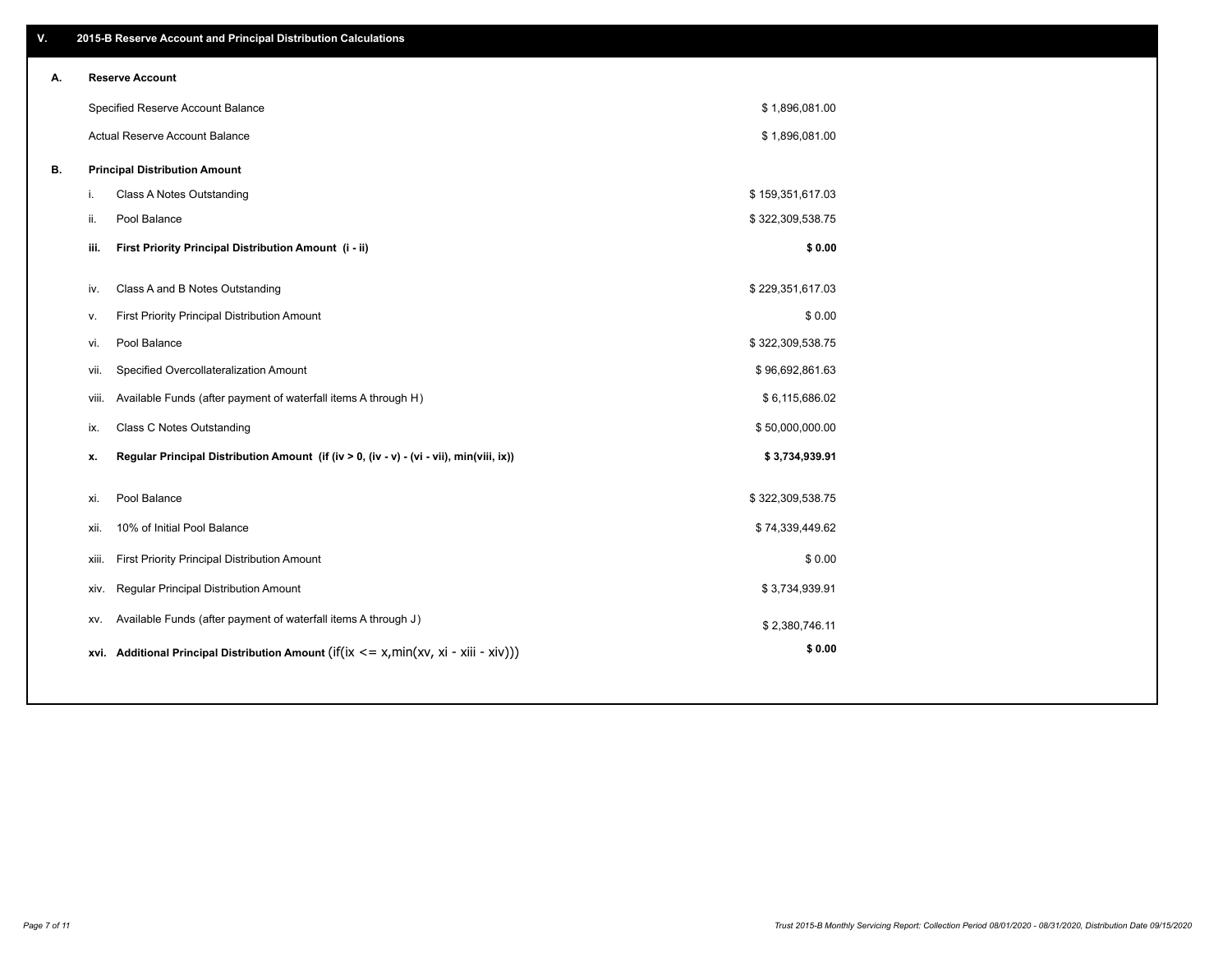| V. |       | 2015-B Reserve Account and Principal Distribution Calculations                             |                  |  |
|----|-------|--------------------------------------------------------------------------------------------|------------------|--|
| А. |       | <b>Reserve Account</b>                                                                     |                  |  |
|    |       | Specified Reserve Account Balance                                                          | \$1,896,081.00   |  |
|    |       | Actual Reserve Account Balance                                                             | \$1,896,081.00   |  |
| В. |       | <b>Principal Distribution Amount</b>                                                       |                  |  |
|    | i.    | Class A Notes Outstanding                                                                  | \$159,351,617.03 |  |
|    | ii.   | Pool Balance                                                                               | \$322,309,538.75 |  |
|    | iii.  | First Priority Principal Distribution Amount (i - ii)                                      | \$0.00           |  |
|    | iv.   | Class A and B Notes Outstanding                                                            | \$229,351,617.03 |  |
|    | v.    | First Priority Principal Distribution Amount                                               | \$0.00           |  |
|    | vi.   | Pool Balance                                                                               | \$322,309,538.75 |  |
|    | vii.  | Specified Overcollateralization Amount                                                     | \$96,692,861.63  |  |
|    | viii. | Available Funds (after payment of waterfall items A through H)                             | \$6,115,686.02   |  |
|    | ix.   | <b>Class C Notes Outstanding</b>                                                           | \$50,000,000.00  |  |
|    | x.    | Regular Principal Distribution Amount (if (iv > 0, (iv - v) - (vi - vii), min(viii, ix))   | \$3,734,939.91   |  |
|    |       |                                                                                            |                  |  |
|    | xi.   | Pool Balance                                                                               | \$322,309,538.75 |  |
|    | xii.  | 10% of Initial Pool Balance                                                                | \$74,339,449.62  |  |
|    | xiii. | First Priority Principal Distribution Amount                                               | \$0.00           |  |
|    | XIV.  | Regular Principal Distribution Amount                                                      | \$3,734,939.91   |  |
|    | XV.   | Available Funds (after payment of waterfall items A through J)                             | \$2,380,746.11   |  |
|    |       | xvi. Additional Principal Distribution Amount (if(ix $\lt$ = x, min(xv, xi - xiii - xiv))) | \$0.00           |  |
|    |       |                                                                                            |                  |  |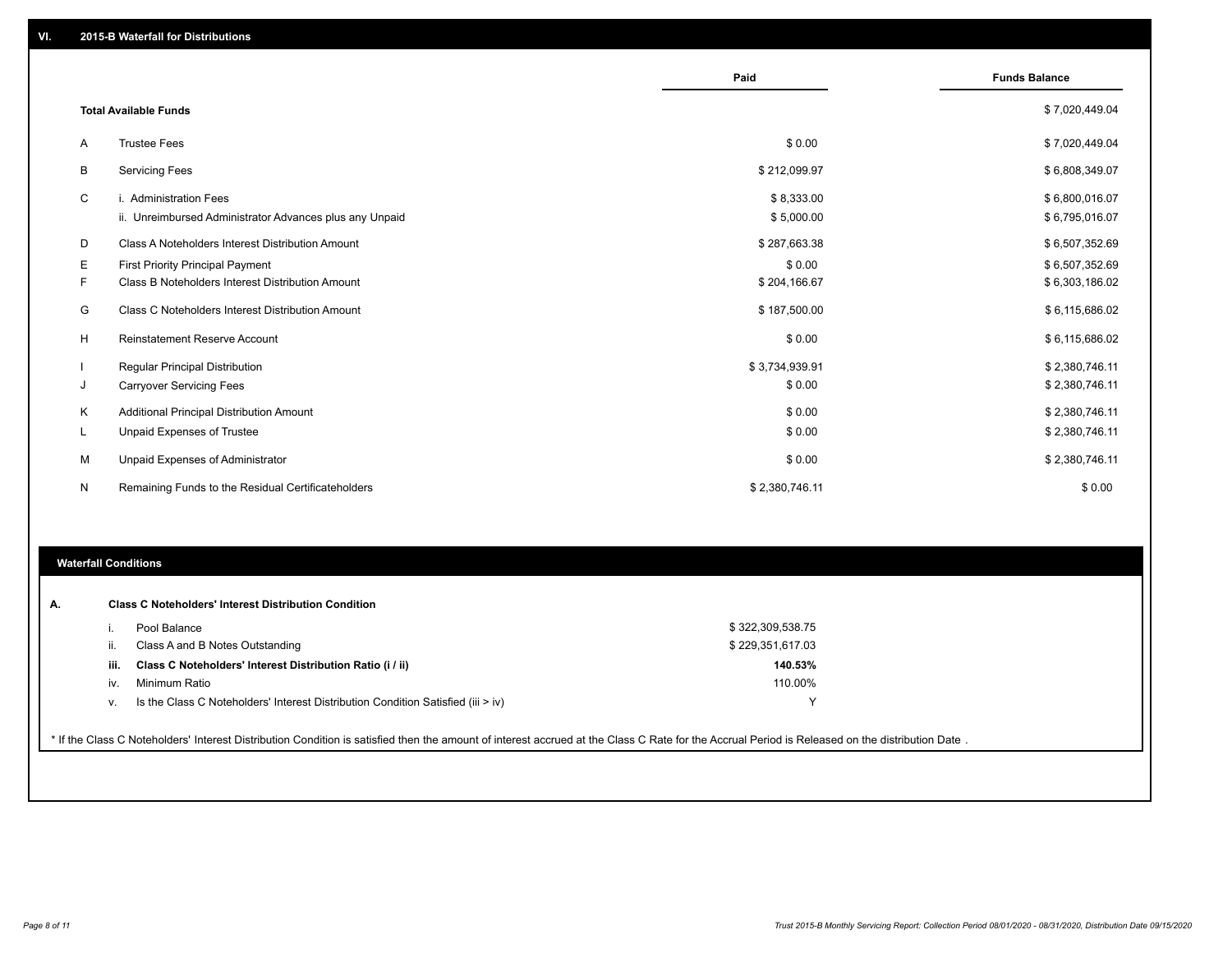|    |                                                                                   | Paid                     | <b>Funds Balance</b>             |
|----|-----------------------------------------------------------------------------------|--------------------------|----------------------------------|
|    | <b>Total Available Funds</b>                                                      |                          | \$7,020,449.04                   |
| A  | <b>Trustee Fees</b>                                                               | \$0.00                   | \$7,020,449.04                   |
| В  | <b>Servicing Fees</b>                                                             | \$212,099.97             | \$6,808,349.07                   |
| C  | i. Administration Fees<br>ii. Unreimbursed Administrator Advances plus any Unpaid | \$8,333.00<br>\$5,000.00 | \$6,800,016.07<br>\$6,795,016.07 |
| D  | Class A Noteholders Interest Distribution Amount                                  | \$287,663.38             | \$6,507,352.69                   |
| Е  | First Priority Principal Payment                                                  | \$0.00                   | \$6,507,352.69                   |
| F. | <b>Class B Noteholders Interest Distribution Amount</b>                           | \$204,166.67             | \$6,303,186.02                   |
| G  | <b>Class C Noteholders Interest Distribution Amount</b>                           | \$187,500.00             | \$6,115,686.02                   |
| H  | <b>Reinstatement Reserve Account</b>                                              | \$0.00                   | \$6,115,686.02                   |
|    | Regular Principal Distribution                                                    | \$3,734,939.91           | \$2,380,746.11                   |
| J  | <b>Carryover Servicing Fees</b>                                                   | \$0.00                   | \$2,380,746.11                   |
| K  | Additional Principal Distribution Amount                                          | \$0.00                   | \$2,380,746.11                   |
| L  | Unpaid Expenses of Trustee                                                        | \$0.00                   | \$2,380,746.11                   |
| м  | Unpaid Expenses of Administrator                                                  | \$0.00                   | \$2,380,746.11                   |
| N  | Remaining Funds to the Residual Certificateholders                                | \$2,380,746.11           | \$0.00                           |

### **Waterfall Conditions**

|      | Pool Balance                                                                       | \$322,309,538.75 |  |
|------|------------------------------------------------------------------------------------|------------------|--|
| Ш.   | Class A and B Notes Outstanding                                                    | \$229,351,617.03 |  |
| iii. | Class C Noteholders' Interest Distribution Ratio (i / ii)                          | 140.53%          |  |
| İV.  | Minimum Ratio                                                                      | 110.00%          |  |
| v.   | Is the Class C Noteholders' Interest Distribution Condition Satisfied (iii $>$ iv) |                  |  |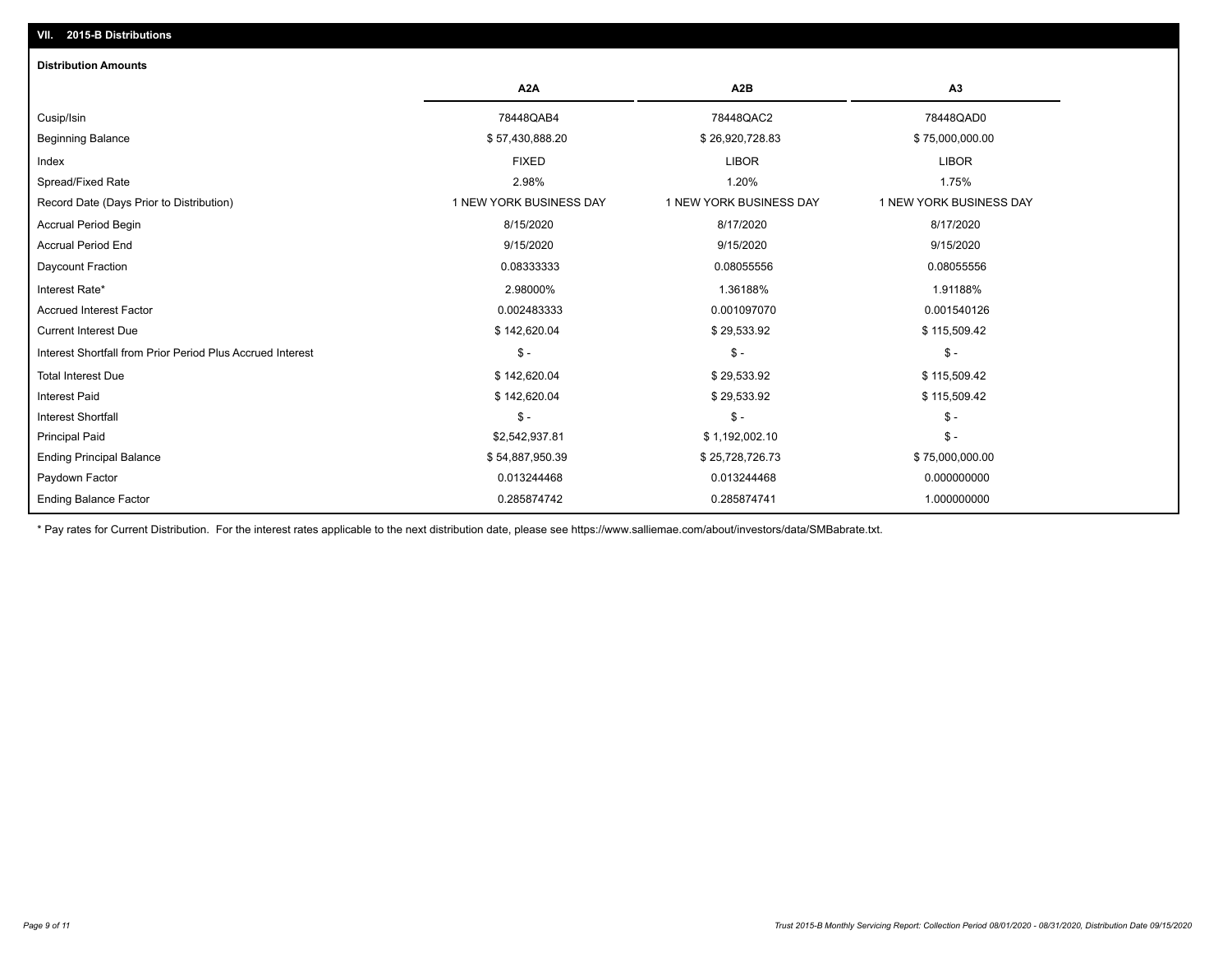# **Distribution Amounts VII. 2015-B Distributions**

|                                                            | A2A                     | A <sub>2</sub> B        | A <sub>3</sub>          |
|------------------------------------------------------------|-------------------------|-------------------------|-------------------------|
| Cusip/Isin                                                 | 78448QAB4               | 78448QAC2               | 78448QAD0               |
| <b>Beginning Balance</b>                                   | \$57,430,888.20         | \$26,920,728.83         | \$75,000,000.00         |
| Index                                                      | <b>FIXED</b>            | <b>LIBOR</b>            | <b>LIBOR</b>            |
| Spread/Fixed Rate                                          | 2.98%                   | 1.20%                   | 1.75%                   |
| Record Date (Days Prior to Distribution)                   | 1 NEW YORK BUSINESS DAY | 1 NEW YORK BUSINESS DAY | 1 NEW YORK BUSINESS DAY |
| Accrual Period Begin                                       | 8/15/2020               | 8/17/2020               | 8/17/2020               |
| <b>Accrual Period End</b>                                  | 9/15/2020               | 9/15/2020               | 9/15/2020               |
| Daycount Fraction                                          | 0.08333333              | 0.08055556              | 0.08055556              |
| Interest Rate*                                             | 2.98000%                | 1.36188%                | 1.91188%                |
| <b>Accrued Interest Factor</b>                             | 0.002483333             | 0.001097070             | 0.001540126             |
| <b>Current Interest Due</b>                                | \$142,620.04            | \$29,533.92             | \$115,509.42            |
| Interest Shortfall from Prior Period Plus Accrued Interest | $$ -$                   | $\mathsf{\$}$ -         | $$ -$                   |
| <b>Total Interest Due</b>                                  | \$142,620.04            | \$29,533.92             | \$115,509.42            |
| <b>Interest Paid</b>                                       | \$142,620.04            | \$29,533.92             | \$115,509.42            |
| <b>Interest Shortfall</b>                                  | $$ -$                   | $\mathsf{\$}$ -         | $$ -$                   |
| <b>Principal Paid</b>                                      | \$2,542,937.81          | \$1,192,002.10          | $$ -$                   |
| <b>Ending Principal Balance</b>                            | \$54,887,950.39         | \$25,728,726.73         | \$75,000,000.00         |
| Paydown Factor                                             | 0.013244468             | 0.013244468             | 0.000000000             |
| <b>Ending Balance Factor</b>                               | 0.285874742             | 0.285874741             | 1.000000000             |

\* Pay rates for Current Distribution. For the interest rates applicable to the next distribution date, please see https://www.salliemae.com/about/investors/data/SMBabrate.txt.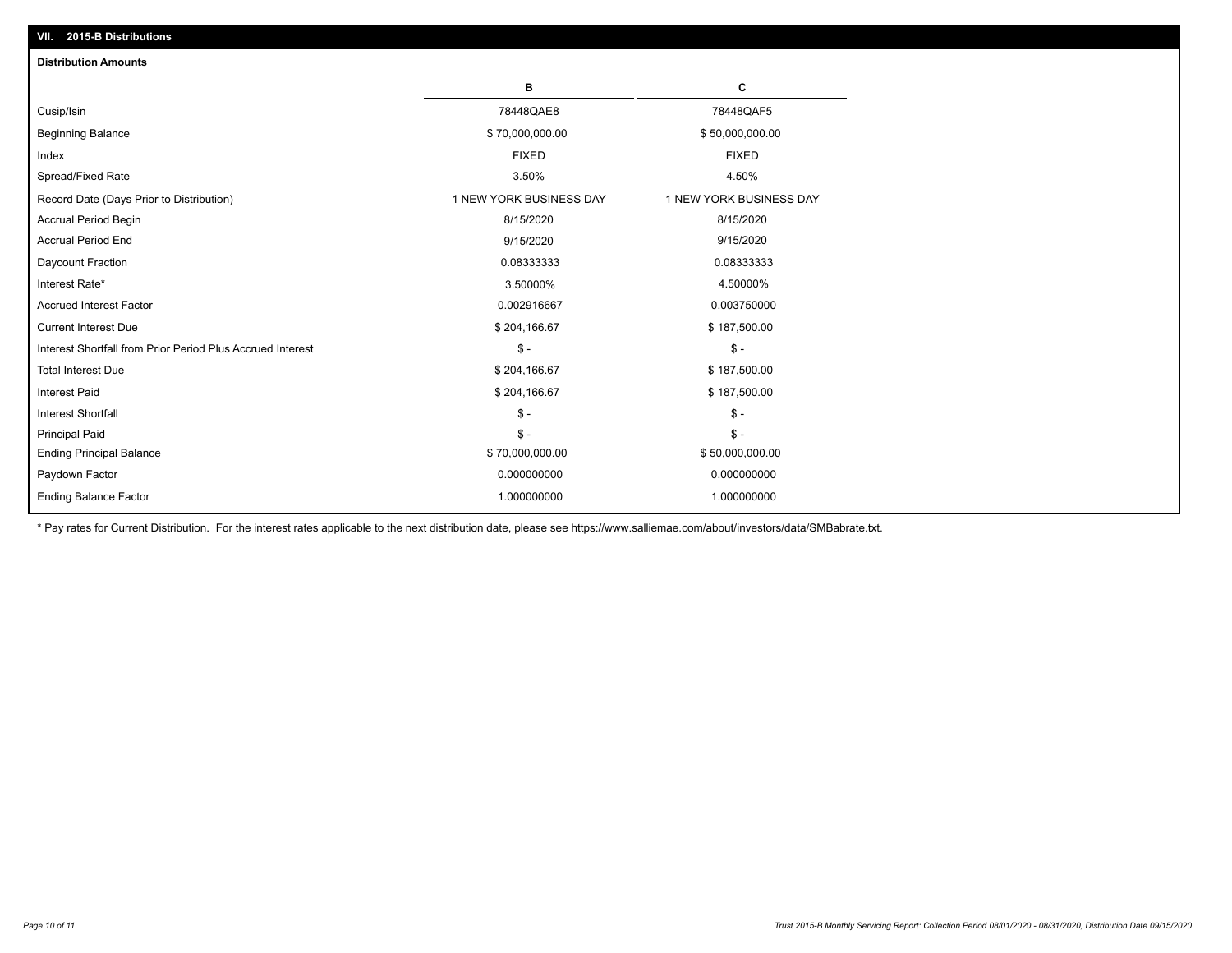| VII. 2015-B Distributions                                  |                         |                         |
|------------------------------------------------------------|-------------------------|-------------------------|
| <b>Distribution Amounts</b>                                |                         |                         |
|                                                            | в                       | c                       |
| Cusip/Isin                                                 | 78448QAE8               | 78448QAF5               |
| <b>Beginning Balance</b>                                   | \$70,000,000.00         | \$50,000,000.00         |
| Index                                                      | <b>FIXED</b>            | <b>FIXED</b>            |
| Spread/Fixed Rate                                          | 3.50%                   | 4.50%                   |
| Record Date (Days Prior to Distribution)                   | 1 NEW YORK BUSINESS DAY | 1 NEW YORK BUSINESS DAY |
| <b>Accrual Period Begin</b>                                | 8/15/2020               | 8/15/2020               |
| <b>Accrual Period End</b>                                  | 9/15/2020               | 9/15/2020               |
| Daycount Fraction                                          | 0.08333333              | 0.08333333              |
| Interest Rate*                                             | 3.50000%                | 4.50000%                |
| <b>Accrued Interest Factor</b>                             | 0.002916667             | 0.003750000             |
| <b>Current Interest Due</b>                                | \$204,166.67            | \$187,500.00            |
| Interest Shortfall from Prior Period Plus Accrued Interest | $\mathsf{\$}$ -         | $\mathsf{\$}$ -         |
| <b>Total Interest Due</b>                                  | \$204,166.67            | \$187,500.00            |
| Interest Paid                                              | \$204,166.67            | \$187,500.00            |
| <b>Interest Shortfall</b>                                  | $\mathcal{S}$ -         | $\mathcal{S}$ -         |
| <b>Principal Paid</b>                                      | $\mathsf{\$}$ -         | $S -$                   |
| <b>Ending Principal Balance</b>                            | \$70,000,000.00         | \$50,000,000.00         |
| Paydown Factor                                             | 0.000000000             | 0.000000000             |
| <b>Ending Balance Factor</b>                               | 1.000000000             | 1.000000000             |
|                                                            |                         |                         |

\* Pay rates for Current Distribution. For the interest rates applicable to the next distribution date, please see https://www.salliemae.com/about/investors/data/SMBabrate.txt.